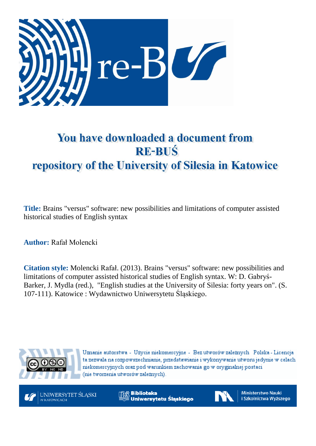

# You have downloaded a document from **RE-BUŚ** repository of the University of Silesia in Katowice

**Title:** Brains "versus" software: new possibilities and limitations of computer assisted historical studies of English syntax

**Author:** Rafał Molencki

**Citation style:** Molencki Rafał. (2013). Brains "versus" software: new possibilities and limitations of computer assisted historical studies of English syntax. W: D. [Gabryś](https://integro.ciniba.edu.pl/integro/search/description?q=Gabry%C5%9B-Barker%2C+Danuta.+Redaktor&index=2)-[Barker, J](https://integro.ciniba.edu.pl/integro/search/description?q=Gabry%C5%9B-Barker%2C+Danuta.+Redaktor&index=2). [Mydla \(red.\),](https://integro.ciniba.edu.pl/integro/search/description?q=Mydla%2C+Jacek.+Redaktor&index=2) "English studies at the University of Silesia: forty years on". (S. 107-111). Katowice : Wydawnictwo Uniwersytetu Śląskiego.



Uznanie autorstwa - Użycie niekomercyjne - Bez utworów zależnych Polska - Licencja ta zezwala na rozpowszechnianie, przedstawianie i wykonywanie utworu jedynie w celach niekomercyjnych oraz pod warunkiem zachowania go w oryginalnej postaci (nie tworzenia utworów zależnych).



**Biblioteka** Uniwersytetu Śląskiego



**Ministerstwo Nauki** i Szkolnictwa Wyższego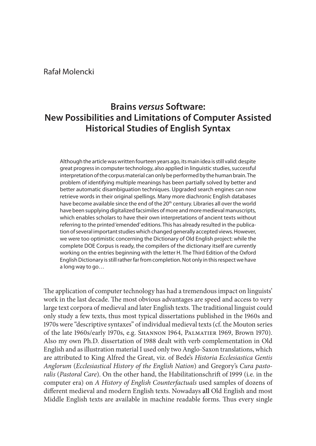## Rafał Molencki

## **Brains** *versus* **Software: New Possibilities and Limitations of Computer Assisted Historical Studies of English Syntax**

Although the article was written fourteen years ago, its main idea is still valid: despite great progress in computer technology, also applied in linguistic studies, successful interpretation of the corpus material can only be performed by the human brain. The problem of identifying multiple meanings has been partially solved by better and better automatic disambiguation techniques. Upgraded search engines can now retrieve words in their original spellings. Many more diachronic English databases have become available since the end of the 20<sup>th</sup> century. Libraries all over the world have been supplying digitalized facsimiles of more and more medieval manuscripts, which enables scholars to have their own interpretations of ancient texts without referring to the printed 'emended' editions. This has already resulted in the publication of several important studies which changed generally accepted views. However, we were too optimistic concerning the Dictionary of Old English project: while the complete DOE Corpus is ready, the compilers of the dictionary itself are currently working on the entries beginning with the letter H. The Third Edition of the Oxford English Dictionary is still rather far from completion. Not only in this respect we have a long way to go…

The application of computer technology has had a tremendous impact on linguists' work in the last decade. The most obvious advantages are speed and access to very large text corpora of medieval and later English texts. The traditional linguist could only study a few texts, thus most typical dissertations published in the 1960s and 1970s were "descriptive syntaxes" of individual medieval texts (cf. the Mouton series of the late 1960s/early 1970s, e.g. Shannon 1964, Palmatier 1969, Brown 1970). Also my own Ph.D. dissertation of 1988 dealt with verb complementation in Old English and as illustration material I used only two Anglo‑Saxon translations, which are attributed to King Alfred the Great, viz. of Bede's *Historia Ecclesiastica Gentis Anglorum* (*Ecclesiastical History of the English Nation*) and Gregory's *Cura pasto‑ ralis* (*Pastoral Care*). On the other hand, the Habilitationschrift of 1999 (i.e. in the computer era) on *A History of English Counterfactuals* used samples of dozens of different medieval and modern English texts. Nowadays **all** Old English and most Middle English texts are available in machine readable forms. Thus every single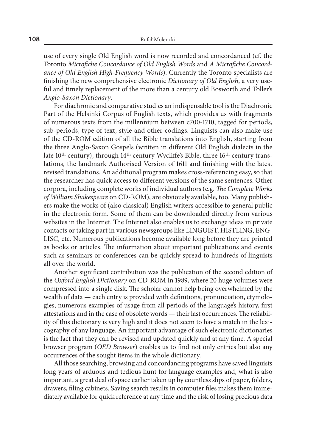use of every single Old English word is now recorded and concordanced (cf. the Toronto *Microfiche Concordance of Old English Words* and *A Microfiche Concord‑ ance of Old English High‑Frequency Words*). Currently the Toronto specialists are finishing the new comprehensive electronic *Dictionary of Old English*, a very use‑ ful and timely replacement of the more than a century old Bosworth and Toller's *Anglo‑Saxon Dictionary*.

For diachronic and comparative studies an indispensable tool is the Diachronic Part of the Helsinki Corpus of English texts, which provides us with fragments of numerous texts from the millennium between c700‑1710, tagged for periods, sub‑periods, type of text, style and other codings. Linguists can also make use of the CD‑ROM edition of all the Bible translations into English, starting from the three Anglo‑Saxon Gospels (written in different Old English dialects in the late 10<sup>th</sup> century), through 14<sup>th</sup> century Wycliffe's Bible, three 16<sup>th</sup> century translations, the landmark Authorised Version of 1611 and finishing with the latest revised translations. An additional program makes cross‑referencing easy, so that the researcher has quick access to different versions of the same sentences. Other corpora, including complete works of individual authors (e.g. *The Complete Works of William Shakespeare* on CD‑ROM), are obviously available, too. Many publish‑ ers make the works of (also classical) English writers accessible to general public in the electronic form. Some of them can be downloaded directly from various websites in the Internet. The Internet also enables us to exchange ideas in private contacts or taking part in various newsgroups like LINGUIST, HISTLING, ENG-LISC, etc. Numerous publications become available long before they are printed as books or articles. The information about important publications and events such as seminars or conferences can be quickly spread to hundreds of linguists all over the world.

Another significant contribution was the publication of the second edition of the *Oxford English Dictionary* on CD‑ROM in 1989, where 20 huge volumes were compressed into a single disk. The scholar cannot help being overwhelmed by the wealth of data — each entry is provided with definitions, pronunciation, etymologies, numerous examples of usage from all periods of the language's history, first attestations and in the case of obsolete words — their last occurrences. The reliability of this dictionary is very high and it does not seem to have a match in the lexicography of any language. An important advantage of such electronic dictionaries is the fact that they can be revised and updated quickly and at any time. A special browser program (*OED Browser*) enables us to find not only entries but also any occurrences of the sought items in the whole dictionary.

All those searching, browsing and concordancing programs have saved linguists long years of arduous and tedious hunt for language examples and, what is also important, a great deal of space earlier taken up by countless slips of paper, folders, drawers, filing cabinets. Saving search results in computer files makes them imme‑ diately available for quick reference at any time and the risk of losing precious data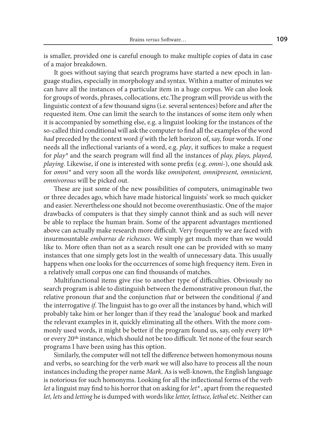is smaller, provided one is careful enough to make multiple copies of data in case of a major breakdown.

It goes without saying that search programs have started a new epoch in language studies, especially in morphology and syntax. Within a matter of minutes we can have all the instances of a particular item in a huge corpus. We can also look for groups of words, phrases, collocations, etc.The program will provide us with the linguistic context of a few thousand signs (i.e. several sentences) before and after the requested item. One can limit the search to the instances of some item only when it is accompanied by something else, e.g. a linguist looking for the instances of the so-called third conditional will ask the computer to find all the examples of the word *had* preceded by the context word *if* with the left horizon of, say, four words. If one needs all the inflectional variants of a word, e.g. *play*, it suffices to make a request for *play\** and the search program will find all the instances of *play, plays, played, playing*. Likewise, if one is interested with some prefix (e.g. *omni‑*), one should ask for *omni\** and very soon all the words like *omnipotent, omnipresent, omniscient, omnivorous* will be picked out.

These are just some of the new possibilities of computers, unimaginable two or three decades ago, which have made historical linguists' work so much quicker and easier. Nevertheless one should not become overenthusiastic. One of the major drawbacks of computers is that they simply cannot think and as such will never be able to replace the human brain. Some of the apparent advantages mentioned above can actually make research more difficult. Very frequently we are faced with insurmountable *embarras de richesses*. We simply get much more than we would like to. More often than not as a search result one can be provided with so many instances that one simply gets lost in the wealth of unnecessary data. This usually happens when one looks for the occurrences of some high frequency item. Even in a relatively small corpus one can find thousands of matches.

Multifunctional items give rise to another type of difficulties. Obviously no search program is able to distinguish between the demonstrative pronoun *that*, the relative pronoun *that* and the conjunction *that* or between the conditional *if* and the interrogative *if*. The linguist has to go over all the instances by hand, which will probably take him or her longer than if they read the 'analogue' book and marked the relevant examples in it, quickly eliminating all the others. With the more commonly used words, it might be better if the program found us, say, only every 10<sup>th</sup> or every 20th instance, which should not be too difficult. Yet none of the four search programs I have been using has this option.

Similarly, the computer will not tell the difference between homonymous nouns and verbs, so searching for the verb *mark* we will also have to process all the noun instances including the proper name *Mark*. As is well‑known, the English language is notorious for such homonyms. Looking for all the inflectional forms of the verb *let* a linguist may find to his horror that on asking for *let\** , apart from the requested *let, lets* and *letting* he is dumped with words like *letter, lettuce, lethal* etc. Neither can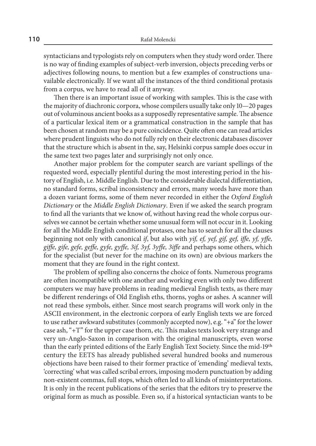syntacticians and typologists rely on computers when they study word order. There is no way of finding examples of subject-verb inversion, objects preceding verbs or adjectives following nouns, to mention but a few examples of constructions unavailable electronically. If we want all the instances of the third conditional protasis from a corpus, we have to read all of it anyway.

Then there is an important issue of working with samples. This is the case with the majority of diachronic corpora, whose compilers usually take only 10—20 pages out of voluminous ancient books as a supposedly representative sample. The absence of a particular lexical item or a grammatical construction in the sample that has been chosen at random may be a pure coincidence. Quite often one can read articles where prudent linguists who do not fully rely on their electronic databases discover that the structure which is absent in the, say, Helsinki corpus sample does occur in the same text two pages later and surprisingly not only once.

Another major problem for the computer search are variant spellings of the requested word, especially plentiful during the most interesting period in the his‑ tory of English, i.e. Middle English. Due to the considerable dialectal differentiation, no standard forms, scribal inconsistency and errors, many words have more than a dozen variant forms, some of them never recorded in either the *Oxford English Dictionary* or the *Middle English Dictionary*. Even if we asked the search program to find all the variants that we know of, without having read the whole corpus ourselves we cannot be certain whether some unusual form will not occur in it. Looking for all the Middle English conditional protases, one has to search for all the clauses beginning not only with canonical *if*, but also with *yif, ef, yef, gif, gef, iffe, yf, yffe, giffe, gife, gefe, geffe, gyfe, gyffe, 3if, 3yf, 3yffe, 3iffe* and perhaps some others, which for the specialist (but never for the machine on its own) are obvious markers the moment that they are found in the right context.

The problem of spelling also concerns the choice of fonts. Numerous programs are often incompatible with one another and working even with only two different computers we may have problems in reading medieval English texts, as there may be different renderings of Old English eths, thorns, yoghs or ashes. A scanner will not read these symbols, either. Since most search programs will work only in the ASCII environment, in the electronic corpora of early English texts we are forced to use rather awkward substitutes (commonly accepted now), e.g. "+a" for the lower case ash, "+T" for the upper case thorn, etc. This makes texts look very strange and very un-Anglo-Saxon in comparison with the original manuscripts, even worse than the early printed editions of the Early English Text Society. Since the mid-19<sup>th</sup> century the EETS has already published several hundred books and numerous objections have been raised to their former practice of 'emending' medieval texts, 'correcting' what was called scribal errors, imposing modern punctuation by adding non‑existent commas, full stops, which often led to all kinds of misinterpretations. It is only in the recent publications of the series that the editors try to preserve the original form as much as possible. Even so, if a historical syntactician wants to be